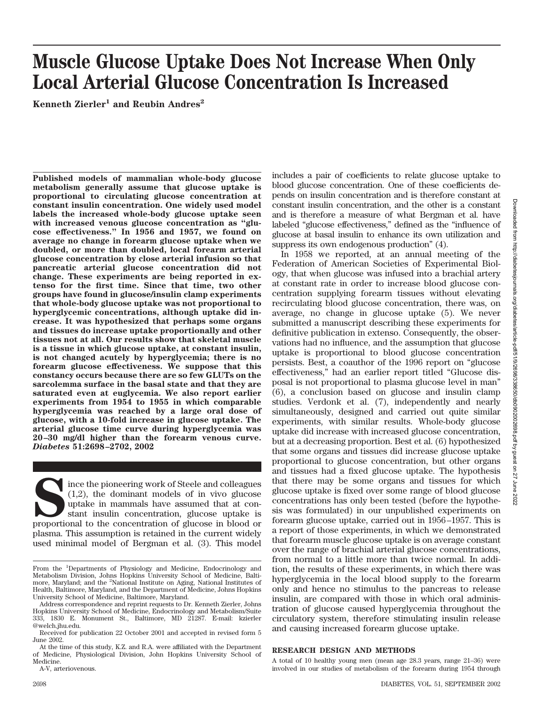# **Muscle Glucose Uptake Does Not Increase When Only Local Arterial Glucose Concentration Is Increased**

**Kenneth Zierler<sup>1</sup> and Reubin Andres<sup>2</sup>** 

**Published models of mammalian whole-body glucose metabolism generally assume that glucose uptake is proportional to circulating glucose concentration at constant insulin concentration. One widely used model labels the increased whole-body glucose uptake seen with increased venous glucose concentration as "glucose effectiveness." In 1956 and 1957, we found on average no change in forearm glucose uptake when we doubled, or more than doubled, local forearm arterial glucose concentration by close arterial infusion so that pancreatic arterial glucose concentration did not change. These experiments are being reported in extenso for the first time. Since that time, two other groups have found in glucose/insulin clamp experiments that whole-body glucose uptake was not proportional to hyperglycemic concentrations, although uptake did increase. It was hypothesized that perhaps some organs and tissues do increase uptake proportionally and other tissues not at all. Our results show that skeletal muscle is a tissue in which glucose uptake, at constant insulin, is not changed acutely by hyperglycemia; there is no forearm glucose effectiveness. We suppose that this constancy occurs because there are so few GLUTs on the sarcolemma surface in the basal state and that they are saturated even at euglycemia. We also report earlier experiments from 1954 to 1955 in which comparable hyperglycemia was reached by a large oral dose of glucose, with a 10-fold increase in glucose uptake. The arterial glucose time curve during hyperglycemia was 20–30 mg/dl higher than the forearm venous curve.** *Diabetes* **51:2698–2702, 2002**

Ince the pioneering work of Steele and colleagues (1,2), the dominant models of in vivo glucose uptake is stant insulin concentration, glucose uptake is proportional to the concentration of glucose in blood or (1,2), the dominant models of in vivo glucose uptake in mammals have assumed that at constant insulin concentration, glucose uptake is proportional to the concentration of glucose in blood or plasma. This assumption is retained in the current widely used minimal model of Bergman et al. (3). This model

A-V, arteriovenous.

includes a pair of coefficients to relate glucose uptake to blood glucose concentration. One of these coefficients depends on insulin concentration and is therefore constant at constant insulin concentration, and the other is a constant and is therefore a measure of what Bergman et al. have labeled "glucose effectiveness," defined as the "influence of glucose at basal insulin to enhance its own utilization and suppress its own endogenous production" (4).

In 1958 we reported, at an annual meeting of the Federation of American Societies of Experimental Biology, that when glucose was infused into a brachial artery at constant rate in order to increase blood glucose concentration supplying forearm tissues without elevating recirculating blood glucose concentration, there was, on average, no change in glucose uptake (5). We never submitted a manuscript describing these experiments for definitive publication in extenso. Consequently, the observations had no influence, and the assumption that glucose uptake is proportional to blood glucose concentration persists. Best, a coauthor of the 1996 report on "glucose effectiveness," had an earlier report titled "Glucose disposal is not proportional to plasma glucose level in man" (6), a conclusion based on glucose and insulin clamp studies. Verdonk et al. (7), independently and nearly simultaneously, designed and carried out quite similar experiments, with similar results. Whole-body glucose uptake did increase with increased glucose concentration, but at a decreasing proportion. Best et al. (6) hypothesized that some organs and tissues did increase glucose uptake proportional to glucose concentration, but other organs and tissues had a fixed glucose uptake. The hypothesis that there may be some organs and tissues for which glucose uptake is fixed over some range of blood glucose concentrations has only been tested (before the hypothesis was formulated) in our unpublished experiments on forearm glucose uptake, carried out in 1956–1957. This is a report of those experiments, in which we demonstrated that forearm muscle glucose uptake is on average constant over the range of brachial arterial glucose concentrations, from normal to a little more than twice normal. In addition, the results of these experiments, in which there was hyperglycemia in the local blood supply to the forearm only and hence no stimulus to the pancreas to release insulin, are compared with those in which oral administration of glucose caused hyperglycemia throughout the circulatory system, therefore stimulating insulin release and causing increased forearm glucose uptake.

## **RESEARCH DESIGN AND METHODS**

A total of 10 healthy young men (mean age 28.3 years, range 21–36) were involved in our studies of metabolism of the forearm during 1954 through

From the <sup>1</sup>Departments of Physiology and Medicine, Endocrinology and Metabolism Division, Johns Hopkins University School of Medicine, Baltimore, Maryland; and the <sup>2</sup> National Institute on Aging, National Institutes of Health, Baltimore, Maryland, and the Department of Medicine, Johns Hopkins University School of Medicine, Baltimore, Maryland.

Address correspondence and reprint requests to Dr. Kenneth Zierler, Johns Hopkins University School of Medicine, Endocrinology and Metabolism/Suite 333, 1830 E. Monument St., Baltimore, MD 21287. E-mail: kzierler @welch.jhu.edu.

Received for publication 22 October 2001 and accepted in revised form 5 June 2002.

At the time of this study, K.Z. and R.A. were affiliated with the Department of Medicine, Physiological Division, John Hopkins University School of Medicine.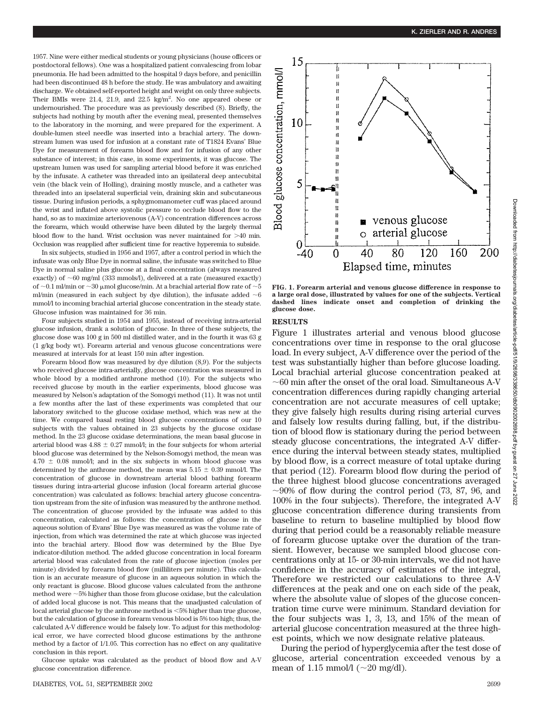1957. Nine were either medical students or young physicians (house officers or postdoctoral fellows). One was a hospitalized patient convalescing from lobar pneumonia. He had been admitted to the hospital 9 days before, and penicillin had been discontinued 48 h before the study. He was ambulatory and awaiting discharge. We obtained self-reported height and weight on only three subjects. Their BMIs were  $21.4$ ,  $21.9$ , and  $22.5 \text{ kg/m}^2$ . No one appeared obese or undernourished. The procedure was as previously described (8). Briefly, the subjects had nothing by mouth after the evening meal, presented themselves to the laboratory in the morning, and were prepared for the experiment. A double-lumen steel needle was inserted into a brachial artery. The downstream lumen was used for infusion at a constant rate of T1824 Evans' Blue Dye for measurement of forearm blood flow and for infusion of any other substance of interest; in this case, in some experiments, it was glucose. The upstream lumen was used for sampling arterial blood before it was enriched by the infusate. A catheter was threaded into an ipsilateral deep antecubital vein (the black vein of Holling), draining mostly muscle, and a catheter was threaded into an ipselateral superficial vein, draining skin and subcutaneous tissue. During infusion periods, a sphygmomanometer cuff was placed around the wrist and inflated above systolic pressure to occlude blood flow to the hand, so as to maximize arteriovenous (A-V) concentration differences across the forearm, which would otherwise have been diluted by the largely thermal blood flow to the hand. Wrist occlusion was never maintained for  $>40$  min. Occlusion was reapplied after sufficient time for reactive hyperemia to subside.

In six subjects, studied in 1956 and 1957, after a control period in which the infusate was only Blue Dye in normal saline, the infusate was switched to Blue Dye in normal saline plus glucose at a final concentration (always measured exactly) of  $~60$  mg/ml (333 mmols/l), delivered at a rate (measured exactly) of  $\sim$ 0.1 ml/min or  $\sim$ 30 µmol glucose/min. At a brachial arterial flow rate of  $\sim$ 5 ml/min (measured in each subject by dye dilution), the infusate added  ${\sim}6$ mmol/l to incoming brachial arterial glucose concentration in the steady state. Glucose infusion was maintained for 36 min.

Four subjects studied in 1954 and 1955, instead of receiving intra-arterial glucose infusion, drank a solution of glucose. In three of these subjects, the glucose dose was 100 g in 500 ml distilled water, and in the fourth it was 63 g (1 g/kg body wt). Forearm arterial and venous glucose concentrations were measured at intervals for at least 150 min after ingestion.

Forearm blood flow was measured by dye dilution (8,9). For the subjects who received glucose intra-arterially, glucose concentration was measured in whole blood by a modified anthrone method (10). For the subjects who received glucose by mouth in the earlier experiments, blood glucose was measured by Nelson's adaptation of the Somogyi method (11). It was not until a few months after the last of these experiments was completed that our laboratory switched to the glucose oxidase method, which was new at the time. We compared basal resting blood glucose concentrations of our 10 subjects with the values obtained in 23 subjects by the glucose oxidase method. In the 23 glucose oxidase determinations, the mean basal glucose in arterial blood was  $4.88 \pm 0.27$  mmol/l; in the four subjects for whom arterial blood glucose was determined by the Nelson-Somogyi method, the mean was  $4.70 \pm 0.08$  mmol/l; and in the six subjects in whom blood glucose was determined by the anthrone method, the mean was  $5.15 \pm 0.39$  mmol/l. The concentration of glucose in downstream arterial blood bathing forearm tissues during intra-arterial glucose infusion (local forearm arterial glucose concentration) was calculated as follows: brachial artery glucose concentration upstream from the site of infusion was measured by the anthrone method. The concentration of glucose provided by the infusate was added to this concentration, calculated as follows: the concentration of glucose in the aqueous solution of Evans' Blue Dye was measured as was the volume rate of injection, from which was determined the rate at which glucose was injected into the brachial artery. Blood flow was determined by the Blue Dye indicator-dilution method. The added glucose concentration in local forearm arterial blood was calculated from the rate of glucose injection (moles per minute) divided by forearm blood flow (milliliters per minute). This calculation is an accurate measure of glucose in an aqueous solution in which the only reactant is glucose. Blood glucose values calculated from the anthrone method were -5% higher than those from glucose oxidase, but the calculation of added local glucose is not. This means that the unadjusted calculation of local arterial glucose by the anthrone method is <5% higher than true glucose, but the calculation of glucose in forearm venous blood is 5% too high; thus, the calculated A-V difference would be falsely low. To adjust for this methodological error, we have corrected blood glucose estimations by the anthrone method by a factor of 1/1.05. This correction has no effect on any qualitative conclusion in this report.

Glucose uptake was calculated as the product of blood flow and A-V glucose concentration difference.



**FIG. 1. Forearm arterial and venous glucose difference in response to a large oral dose, illustrated by values for one of the subjects. Vertical dashed lines indicate onset and completion of drinking the glucose dose.**

## **RESULTS**

Figure 1 illustrates arterial and venous blood glucose concentrations over time in response to the oral glucose load. In every subject, A-V difference over the period of the test was substantially higher than before glucose loading. Local brachial arterial glucose concentration peaked at -60 min after the onset of the oral load. Simultaneous A-V concentration differences during rapidly changing arterial concentration are not accurate measures of cell uptake; they give falsely high results during rising arterial curves and falsely low results during falling, but, if the distribution of blood flow is stationary during the period between steady glucose concentrations, the integrated A-V difference during the interval between steady states, multiplied by blood flow, is a correct measure of total uptake during that period (12). Forearm blood flow during the period of the three highest blood glucose concentrations averaged  $\sim$ 90% of flow during the control period (73, 87, 96, and 100% in the four subjects). Therefore, the integrated A-V glucose concentration difference during transients from baseline to return to baseline multiplied by blood flow during that period could be a reasonably reliable measure of forearm glucose uptake over the duration of the transient. However, because we sampled blood glucose concentrations only at 15- or 30-min intervals, we did not have confidence in the accuracy of estimates of the integral, Therefore we restricted our calculations to three A-V differences at the peak and one on each side of the peak, where the absolute value of slopes of the glucose concentration time curve were minimum. Standard deviation for the four subjects was 1, 3, 13, and 15% of the mean of arterial glucose concentration measured at the three highest points, which we now designate relative plateaus.

During the period of hyperglycemia after the test dose of glucose, arterial concentration exceeded venous by a mean of 1.15 mmol/l  $(\sim 20 \text{ mg/dl}).$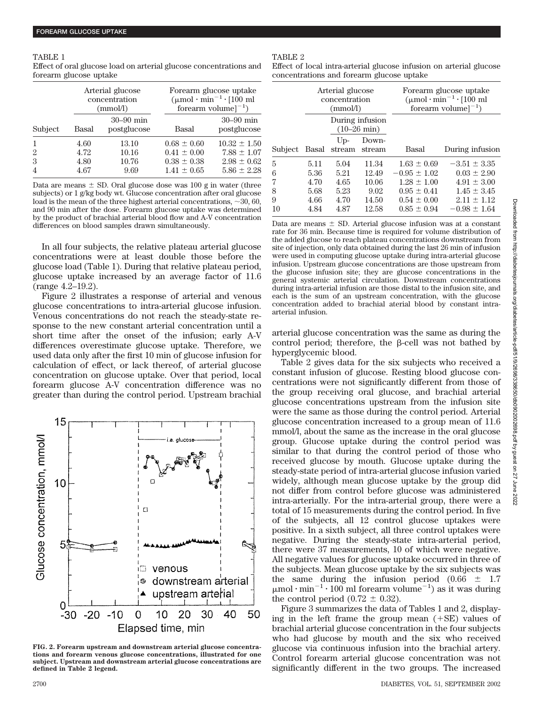TABLE 1 Effect of oral glucose load on arterial glucose concentrations and forearm glucose uptake

|                     | Arterial glucose<br>concentration<br>(mmol/l) |                              | Forearm glucose uptake<br>$(\mu \text{mol} \cdot \text{min}^{-1} \cdot [100 \text{ ml}]$<br>forearm volume $]^{-1}$ |                                                        |
|---------------------|-----------------------------------------------|------------------------------|---------------------------------------------------------------------------------------------------------------------|--------------------------------------------------------|
| Subject             | Basal                                         | $30 - 90$ min<br>postglucose | Basal                                                                                                               | $30 - 90$ min<br>postglucose                           |
| $\overline{2}$<br>3 | 4.60<br>4.72<br>4.80                          | 13.10<br>10.16<br>10.76      | $0.68 \pm 0.60$<br>$0.41 \pm 0.00$<br>$0.38 \pm 0.38$                                                               | $10.32 \pm 1.50$<br>$7.88 \pm 1.07$<br>$2.98 \pm 0.62$ |
|                     | 4.67                                          | 9.69                         | $1.41 \pm 0.65$                                                                                                     | $5.86 \pm 2.28$                                        |

Data are means  $\pm$  SD. Oral glucose dose was 100 g in water (three subjects) or 1 g/kg body wt. Glucose concentration after oral glucose load is the mean of the three highest arterial concentrations,  $\sim$  30, 60, and 90 min after the dose. Forearm glucose uptake was determined by the product of brachial arterial blood flow and A-V concentration differences on blood samples drawn simultaneously.

In all four subjects, the relative plateau arterial glucose concentrations were at least double those before the glucose load (Table 1). During that relative plateau period, glucose uptake increased by an average factor of 11.6 (range 4.2–19.2).

Figure 2 illustrates a response of arterial and venous glucose concentrations to intra-arterial glucose infusion. Venous concentrations do not reach the steady-state response to the new constant arterial concentration until a short time after the onset of the infusion; early A-V differences overestimate glucose uptake. Therefore, we used data only after the first 10 min of glucose infusion for calculation of effect, or lack thereof, of arterial glucose concentration on glucose uptake. Over that period, local forearm glucose A-V concentration difference was no greater than during the control period. Upstream brachial



**FIG. 2. Forearm upstream and downstream arterial glucose concentrations and forearm venous glucose concentrations, illustrated for one subject. Upstream and downstream arterial glucose concentrations are defined in Table 2 legend.**

#### TABLE 2

Effect of local intra-arterial glucose infusion on arterial glucose concentrations and forearm glucose uptake

|         |       | Arterial glucose<br>concentration<br>(mmol/l) | During infusion | Forearm glucose uptake<br>$(\mu$ mol·min <sup>-1</sup> ·[100 ml<br>forearm volume $^{-1}$ ) |                  |
|---------|-------|-----------------------------------------------|-----------------|---------------------------------------------------------------------------------------------|------------------|
|         |       | $(10-26 \text{ min})$                         |                 |                                                                                             |                  |
|         |       | $U_{D}$                                       | Down-           |                                                                                             |                  |
| Subject | Basal | stream                                        | stream          | Basal                                                                                       | During infusion  |
| 5       | 5.11  | 5.04                                          | 11.34           | $1.63 \pm 0.69$                                                                             | $-3.51 \pm 3.35$ |
| 6       | 5.36  | 5.21                                          | 12.49           | $-0.95 \pm 1.02$                                                                            | $0.03 \pm 2.90$  |
| 7       | 4.70  | 4.65                                          | 10.06           | $1.28 \pm 1.00$                                                                             | $4.91 \pm 3.00$  |
| 8       | 5.68  | 5.23                                          | 9.02            | $0.95 \pm 0.41$                                                                             | $1.45 \pm 3.45$  |
| 9       | 4.66  | 4.70                                          | 14.50           | $0.54 \pm 0.00$                                                                             | $2.11 \pm 1.12$  |
| 10      | 4.84  | 4.87                                          | 12.58           | $0.85 \pm 0.94$                                                                             | $-0.98 \pm 1.64$ |

Data are means  $\pm$  SD. Arterial glucose infusion was at a constant rate for 36 min. Because time is required for volume distribution of the added glucose to reach plateau concentrations downstream from site of injection, only data obtained during the last 26 min of infusion were used in computing glucose uptake during intra-arterial glucose infusion. Upstream glucose concentrations are those upstream from the glucose infusion site; they are glucose concentrations in the general systemic arterial circulation. Downstream concentrations during intra-arterial infusion are those distal to the infusion site, and each is the sum of an upstream concentration, with the glucose concentration added to brachial aterial blood by constant intraarterial infusion.

arterial glucose concentration was the same as during the control period; therefore, the  $\beta$ -cell was not bathed by hyperglycemic blood.

Table 2 gives data for the six subjects who received a constant infusion of glucose. Resting blood glucose concentrations were not significantly different from those of the group receiving oral glucose, and brachial arterial glucose concentrations upstream from the infusion site were the same as those during the control period. Arterial glucose concentration increased to a group mean of 11.6 mmol/l, about the same as the increase in the oral glucose group. Glucose uptake during the control period was similar to that during the control period of those who received glucose by mouth. Glucose uptake during the steady-state period of intra-arterial glucose infusion varied widely, although mean glucose uptake by the group did not differ from control before glucose was administered intra-arterially. For the intra-arterial group, there were a total of 15 measurements during the control period. In five of the subjects, all 12 control glucose uptakes were positive. In a sixth subject, all three control uptakes were negative. During the steady-state intra-arterial period, there were 37 measurements, 10 of which were negative. All negative values for glucose uptake occurred in three of the subjects. Mean glucose uptake by the six subjects was the same during the infusion period  $(0.66 \pm 1.7)$  $\mu$ mol·min<sup>-1</sup>·100 ml forearm volume<sup>-1</sup>) as it was during the control period  $(0.72 \pm 0.32)$ .

Figure 3 summarizes the data of Tables 1 and 2, displaying in the left frame the group mean  $(+SE)$  values of brachial arterial glucose concentration in the four subjects who had glucose by mouth and the six who received glucose via continuous infusion into the brachial artery. Control forearm arterial glucose concentration was not significantly different in the two groups. The increased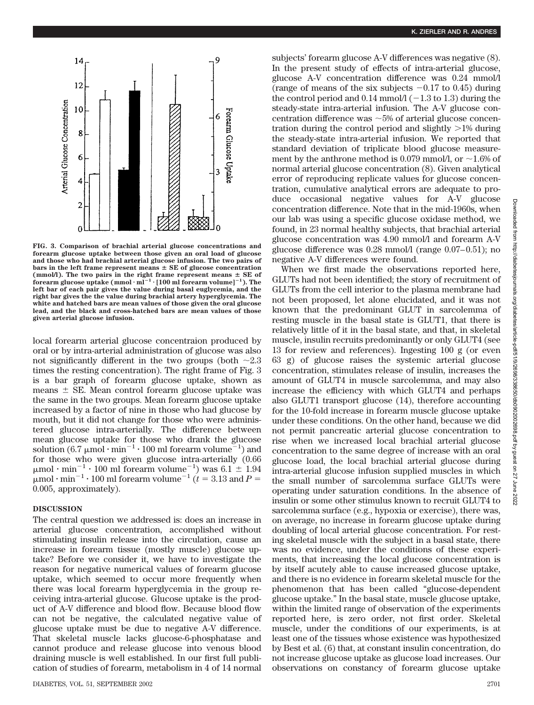

**FIG. 3. Comparison of brachial arterial glucose concentrations and forearm glucose uptake between those given an oral load of glucose and those who had brachial arterial glucose infusion. The two pairs of** bars in the left frame represent means  $\pm$  SE of glucose concentration (mmol/l). The two pairs in the right frame represent means  $\pm$  SE of  $\frac{1}{2}$  forearm glucose uptake  $(\text{mmol}\cdot\text{m})^{-1}\cdot[100 \text{ m}]$  forearm volume]<sup>-1</sup>). The **left bar of each pair gives the value during basal euglycemia, and the right bar gives the the value during brachial artery hyperglycemia. The white and hatched bars are mean values of those given the oral glucose lead, and the black and cross-hatched bars are mean values of those given arterial glucose infusion.**

local forearm arterial glucose concentraion produced by oral or by intra-arterial administration of glucose was also not significantly different in the two groups (both  $\sim 2.3$ times the resting concentration). The right frame of Fig. 3 is a bar graph of forearm glucose uptake, shown as means  $\pm$  SE. Mean control forearm glucose uptake was the same in the two groups. Mean forearm glucose uptake increased by a factor of nine in those who had glucose by mouth, but it did not change for those who were administered glucose intra-arterially. The difference between mean glucose uptake for those who drank the glucose solution  $(6.7 \mu mol \cdot min^{-1} \cdot 100 \text{ ml forearn volume}^{-1})$  and for those who were given glucose intra-arterially (0.66  $\mu$ mol·min<sup>-1</sup>·100 ml forearm volume<sup>-1</sup>) was 6.1<sup>+</sup> 1.94  $\mu$ mol  $\cdot$  min<sup>-1</sup>  $\cdot$  100 ml forearm volume<sup>-1</sup> ( $t = 3.13$  and  $P =$ 0.005, approximately).

#### **DISCUSSION**

The central question we addressed is: does an increase in arterial glucose concentration, accomplished without stimulating insulin release into the circulation, cause an increase in forearm tissue (mostly muscle) glucose uptake? Before we consider it, we have to investigate the reason for negative numerical values of forearm glucose uptake, which seemed to occur more frequently when there was local forearm hyperglycemia in the group receiving intra-arterial glucose. Glucose uptake is the product of A-V difference and blood flow. Because blood flow can not be negative, the calculated negative value of glucose uptake must be due to negative A-V difference. That skeletal muscle lacks glucose-6-phosphatase and cannot produce and release glucose into venous blood draining muscle is well established. In our first full publication of studies of forearm, metabolism in 4 of 14 normal subjects' forearm glucose A-V differences was negative (8). In the present study of effects of intra-arterial glucose, glucose A-V concentration difference was 0.24 mmol/l (range of means of the six subjects  $-0.17$  to 0.45) during the control period and  $0.14$  mmol/l ( $-1.3$  to 1.3) during the steady-state intra-arterial infusion. The A-V glucose concentration difference was  ${\sim}5\%$  of arterial glucose concentration during the control period and slightly  $>1\%$  during the steady-state intra-arterial infusion. We reported that standard deviation of triplicate blood glucose measurement by the anthrone method is 0.079 mmol/l, or  ${\sim}1.6\%$  of normal arterial glucose concentration (8). Given analytical error of reproducing replicate values for glucose concentration, cumulative analytical errors are adequate to produce occasional negative values for A-V glucose concentration difference. Note that in the mid-1960s, when our lab was using a specific glucose oxidase method, we found, in 23 normal healthy subjects, that brachial arterial glucose concentration was 4.90 mmol/l and forearm A-V glucose difference was 0.28 mmol/l (range 0.07–0.51); no negative A-V differences were found.

When we first made the observations reported here, GLUTs had not been identified; the story of recruitment of GLUTs from the cell interior to the plasma membrane had not been proposed, let alone elucidated, and it was not known that the predominant GLUT in sarcolemma of resting muscle in the basal state is GLUT1, that there is relatively little of it in the basal state, and that, in skeletal muscle, insulin recruits predominantly or only GLUT4 (see 13 for review and references). Ingesting 100 g (or even 63 g) of glucose raises the systemic arterial glucose concentration, stimulates release of insulin, increases the amount of GLUT4 in muscle sarcolemma, and may also increase the efficiency with which GLUT4 and perhaps also GLUT1 transport glucose (14), therefore accounting for the 10-fold increase in forearm muscle glucose uptake under these conditions. On the other hand, because we did not permit pancreatic arterial glucose concentration to rise when we increased local brachial arterial glucose concentration to the same degree of increase with an oral glucose load, the local brachial arterial glucose during intra-arterial glucose infusion supplied muscles in which the small number of sarcolemma surface GLUTs were operating under saturation conditions. In the absence of insulin or some other stimulus known to recruit GLUT4 to sarcolemma surface (e.g., hypoxia or exercise), there was, on average, no increase in forearm glucose uptake during doubling of local arterial glucose concentration. For resting skeletal muscle with the subject in a basal state, there was no evidence, under the conditions of these experiments, that increasing the local glucose concentration is by itself acutely able to cause increased glucose uptake, and there is no evidence in forearm skeletal muscle for the phenomenon that has been called "glucose-dependent glucose uptake." In the basal state, muscle glucose uptake, within the limited range of observation of the experiments reported here, is zero order, not first order. Skeletal muscle, under the conditions of our experiments, is at least one of the tissues whose existence was hypothesized by Best et al. (6) that, at constant insulin concentration, do not increase glucose uptake as glucose load increases. Our observations on constancy of forearm glucose uptake